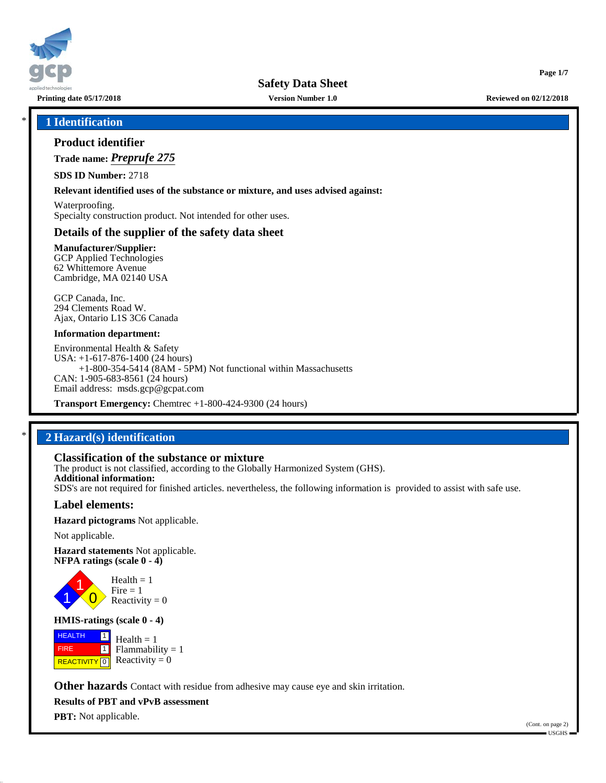

**Printing date 05/17/2018 Version Number 1.0 Reviewed on 02/12/2018**

**Page 1/7**

## \* **1 Identification**

## **Product identifier**

**Trade name:** *Preprufe 275*

**SDS ID Number:** 2718

### **Relevant identified uses of the substance or mixture, and uses advised against:**

Waterproofing. Specialty construction product. Not intended for other uses.

## **Details of the supplier of the safety data sheet**

**Manufacturer/Supplier:** GCP Applied Technologies 62 Whittemore Avenue Cambridge, MA 02140 USA

GCP Canada, Inc. 294 Clements Road W. Ajax, Ontario L1S 3C6 Canada

### **Information department:**

Environmental Health & Safety USA: +1-617-876-1400 (24 hours) +1-800-354-5414 (8AM - 5PM) Not functional within Massachusetts CAN: 1-905-683-8561 (24 hours) Email address: msds.gcp@gcpat.com

**Transport Emergency:** Chemtrec +1-800-424-9300 (24 hours)

## \* **2 Hazard(s) identification**

## **Classification of the substance or mixture**

The product is not classified, according to the Globally Harmonized System (GHS). **Additional information:** SDS's are not required for finished articles. nevertheless, the following information is provided to assist with safe use.

## **Label elements:**

**Hazard pictograms** Not applicable.

Not applicable.

**Hazard statements** Not applicable. **NFPA ratings (scale 0 - 4)**



### **HMIS-ratings (scale 0 - 4)**

 HEALTH FIRE **REACTIVITY** 0  $\boxed{1}$  $\overline{\mathbf{1}}$  $Health = 1$  $Flammability = 1$ Reactivity  $= 0$ 

**Other hazards** Contact with residue from adhesive may cause eye and skin irritation.

**Results of PBT and vPvB assessment**

**PBT:** Not applicable.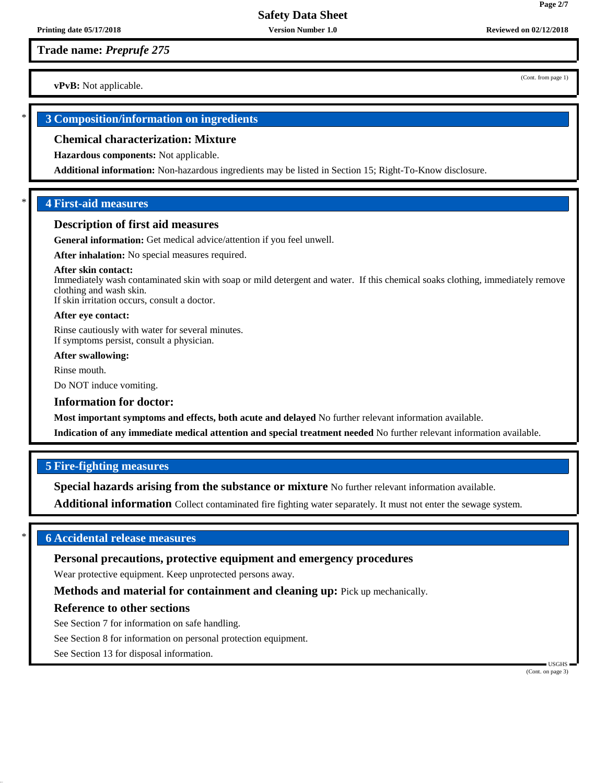## **Trade name:** *Preprufe 275*

**vPvB:** Not applicable.

## \* **3 Composition/information on ingredients**

## **Chemical characterization: Mixture**

**Hazardous components:** Not applicable.

**Additional information:** Non-hazardous ingredients may be listed in Section 15; Right-To-Know disclosure.

## \* **4 First-aid measures**

## **Description of first aid measures**

**General information:** Get medical advice/attention if you feel unwell.

**After inhalation:** No special measures required.

### **After skin contact:**

Immediately wash contaminated skin with soap or mild detergent and water. If this chemical soaks clothing, immediately remove clothing and wash skin. If skin irritation occurs, consult a doctor.

**After eye contact:**

Rinse cautiously with water for several minutes. If symptoms persist, consult a physician.

### **After swallowing:**

Rinse mouth.

Do NOT induce vomiting.

## **Information for doctor:**

**Most important symptoms and effects, both acute and delayed** No further relevant information available.

**Indication of any immediate medical attention and special treatment needed** No further relevant information available.

## **5 Fire-fighting measures**

**Special hazards arising from the substance or mixture** No further relevant information available.

**Additional information** Collect contaminated fire fighting water separately. It must not enter the sewage system.

## \* **6 Accidental release measures**

## **Personal precautions, protective equipment and emergency procedures**

Wear protective equipment. Keep unprotected persons away.

**Methods and material for containment and cleaning up:** Pick up mechanically.

## **Reference to other sections**

See Section 7 for information on safe handling.

See Section 8 for information on personal protection equipment.

See Section 13 for disposal information.

 USGHS (Cont. on page 3)

(Cont. from page 1)

**Page 2/7**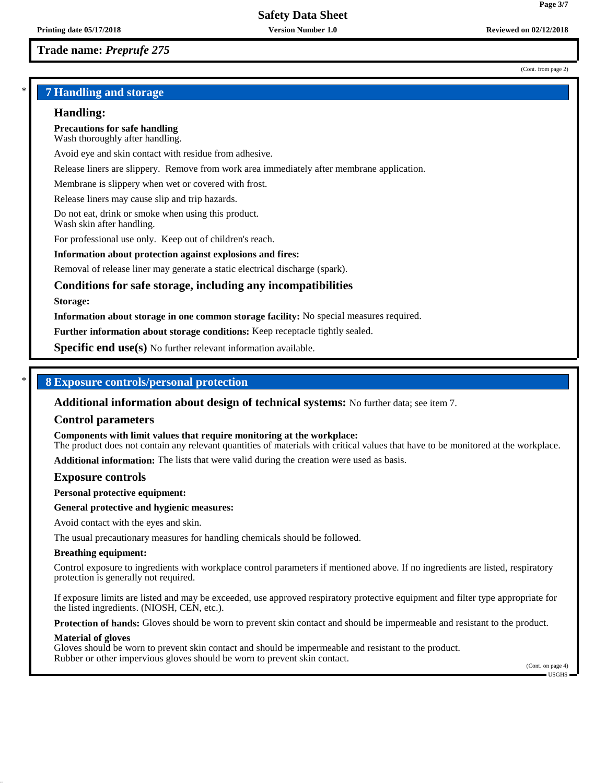#### (Cont. from page 2)

**Page 3/7**

## \* **7 Handling and storage**

## **Handling:**

**Precautions for safe handling** Wash thoroughly after handling.

Avoid eye and skin contact with residue from adhesive.

Release liners are slippery. Remove from work area immediately after membrane application.

Membrane is slippery when wet or covered with frost.

Release liners may cause slip and trip hazards.

Do not eat, drink or smoke when using this product. Wash skin after handling.

For professional use only. Keep out of children's reach.

### **Information about protection against explosions and fires:**

Removal of release liner may generate a static electrical discharge (spark).

## **Conditions for safe storage, including any incompatibilities**

#### **Storage:**

**Information about storage in one common storage facility:** No special measures required.

**Further information about storage conditions:** Keep receptacle tightly sealed.

**Specific end use(s)** No further relevant information available.

## \* **8 Exposure controls/personal protection**

**Additional information about design of technical systems:** No further data; see item 7.

### **Control parameters**

**Components with limit values that require monitoring at the workplace:**

The product does not contain any relevant quantities of materials with critical values that have to be monitored at the workplace.

**Additional information:** The lists that were valid during the creation were used as basis.

### **Exposure controls**

**Personal protective equipment:**

### **General protective and hygienic measures:**

Avoid contact with the eyes and skin.

The usual precautionary measures for handling chemicals should be followed.

### **Breathing equipment:**

Control exposure to ingredients with workplace control parameters if mentioned above. If no ingredients are listed, respiratory protection is generally not required.

If exposure limits are listed and may be exceeded, use approved respiratory protective equipment and filter type appropriate for the listed ingredients. (NIOSH, CEN, etc.).

**Protection of hands:** Gloves should be worn to prevent skin contact and should be impermeable and resistant to the product.

#### **Material of gloves**

Gloves should be worn to prevent skin contact and should be impermeable and resistant to the product. Rubber or other impervious gloves should be worn to prevent skin contact.

(Cont. on page 4) USGHS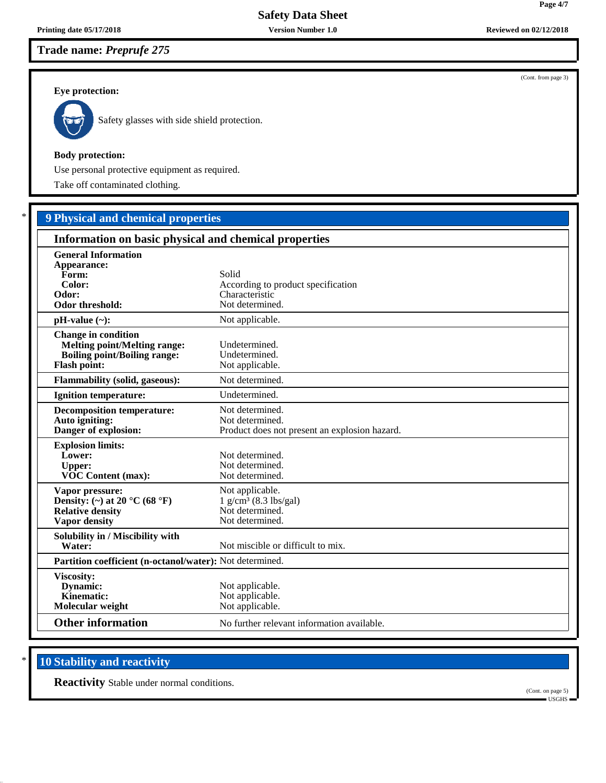# **Trade name:** *Preprufe 275*

## **Eye protection:**



Safety glasses with side shield protection.

## **Body protection:**

Use personal protective equipment as required.

Take off contaminated clothing.

# \* **9 Physical and chemical properties**

| Information on basic physical and chemical properties                                                                           |                                                                                              |  |
|---------------------------------------------------------------------------------------------------------------------------------|----------------------------------------------------------------------------------------------|--|
| <b>General Information</b><br>Appearance:<br>Form:<br>Color:<br>Odor:<br>Odor threshold:                                        | Solid<br>According to product specification<br>Characteristic<br>Not determined.             |  |
| $pH-value (\sim):$                                                                                                              | Not applicable.                                                                              |  |
| <b>Change in condition</b><br><b>Melting point/Melting range:</b><br><b>Boiling point/Boiling range:</b><br><b>Flash point:</b> | Undetermined.<br>Undetermined.<br>Not applicable.                                            |  |
| Flammability (solid, gaseous):                                                                                                  | Not determined.                                                                              |  |
| <b>Ignition temperature:</b>                                                                                                    | Undetermined.                                                                                |  |
| <b>Decomposition temperature:</b><br>Auto igniting:<br>Danger of explosion:                                                     | Not determined.<br>Not determined.<br>Product does not present an explosion hazard.          |  |
| <b>Explosion limits:</b><br>Lower:<br><b>Upper:</b><br>VOC Content (max):                                                       | Not determined.<br>Not determined.<br>Not determined.                                        |  |
| Vapor pressure:<br>Density: (~) at 20 $^{\circ}$ C (68 $^{\circ}$ F)<br><b>Relative density</b><br>Vapor density                | Not applicable.<br>$1$ g/cm <sup>3</sup> (8.3 lbs/gal)<br>Not determined.<br>Not determined. |  |
| Solubility in / Miscibility with<br>Water:                                                                                      | Not miscible or difficult to mix.                                                            |  |
|                                                                                                                                 | Partition coefficient (n-octanol/water): Not determined.                                     |  |
| Viscosity:<br><b>Dynamic:</b><br>Kinematic:<br>Molecular weight                                                                 | Not applicable.<br>Not applicable.<br>Not applicable.                                        |  |
| <b>Other information</b>                                                                                                        | No further relevant information available.                                                   |  |

# **10 Stability and reactivity**

**Reactivity** Stable under normal conditions.



(Cont. from page 3)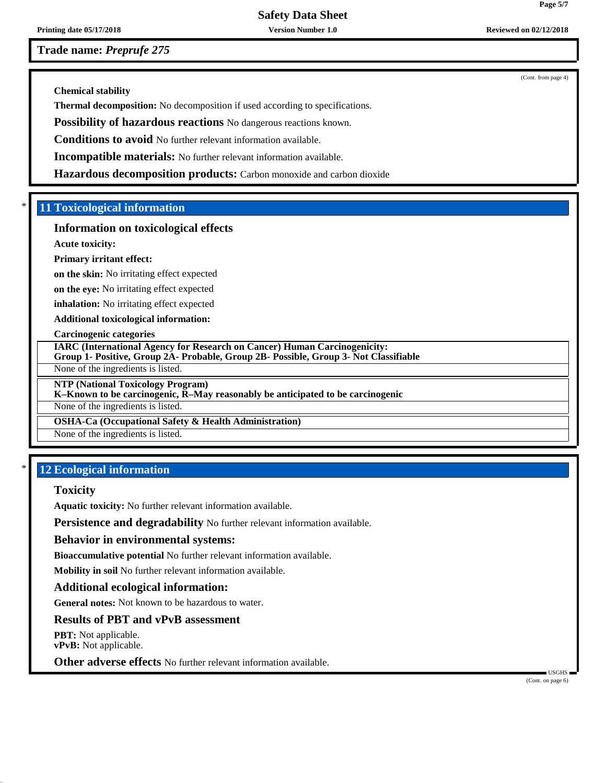**Printing date 05/17/2018 Version Number 1.0 Reviewed on 02/12/2018 Reviewed on 02/12/2018** 

**Trade name:** *Preprufe 275*

(Cont. from page 4)

**Chemical stability**

**Thermal decomposition:** No decomposition if used according to specifications.

**Possibility of hazardous reactions** No dangerous reactions known.

**Conditions to avoid** No further relevant information available.

**Incompatible materials:** No further relevant information available.

**Hazardous decomposition products:** Carbon monoxide and carbon dioxide

## \* **11 Toxicological information**

## **Information on toxicological effects**

**Acute toxicity:**

### **Primary irritant effect:**

**on the skin:** No irritating effect expected

**on the eye:** No irritating effect expected

**inhalation:** No irritating effect expected

**Additional toxicological information:**

### **Carcinogenic categories**

**IARC (International Agency for Research on Cancer) Human Carcinogenicity: Group 1- Positive, Group 2A- Probable, Group 2B- Possible, Group 3- Not Classifiable**

None of the ingredients is listed.

**NTP (National Toxicology Program)**

## **K–Known to be carcinogenic, R–May reasonably be anticipated to be carcinogenic**

None of the ingredients is listed.

## **OSHA-Ca (Occupational Safety & Health Administration)**

None of the ingredients is listed.

## **12 Ecological information**

### **Toxicity**

**Aquatic toxicity:** No further relevant information available.

**Persistence and degradability** No further relevant information available.

### **Behavior in environmental systems:**

**Bioaccumulative potential** No further relevant information available.

**Mobility in soil** No further relevant information available.

## **Additional ecological information:**

**General notes:** Not known to be hazardous to water.

## **Results of PBT and vPvB assessment**

**PBT:** Not applicable. **vPvB:** Not applicable.

**Other adverse effects** No further relevant information available.

 USGHS (Cont. on page 6)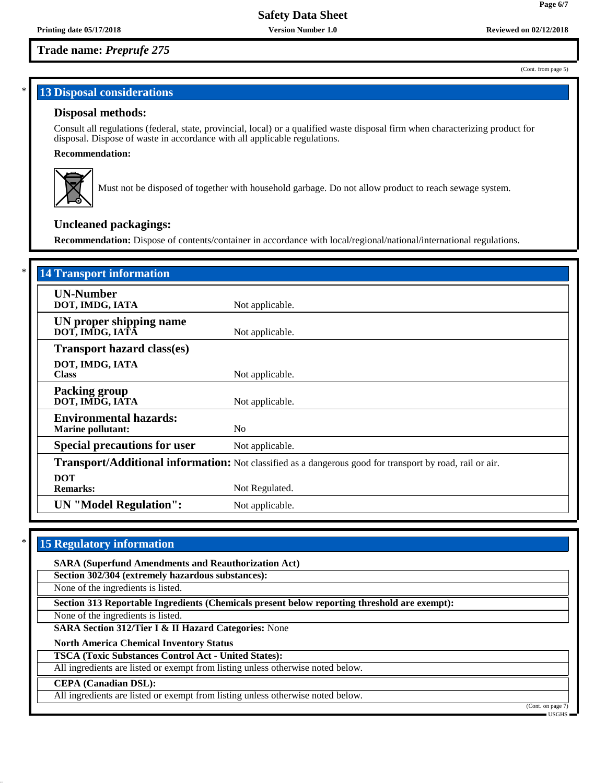## **Trade name:** *Preprufe 275*

# **13 Disposal considerations**

## **Disposal methods:**

Consult all regulations (federal, state, provincial, local) or a qualified waste disposal firm when characterizing product for disposal. Dispose of waste in accordance with all applicable regulations.

## **Recommendation:**



Must not be disposed of together with household garbage. Do not allow product to reach sewage system.

## **Uncleaned packagings:**

**Recommendation:** Dispose of contents/container in accordance with local/regional/national/international regulations.

| <b>14 Transport information</b>                                                                          |                 |
|----------------------------------------------------------------------------------------------------------|-----------------|
| <b>UN-Number</b><br>DOT, IMDG, IATA                                                                      | Not applicable. |
| UN proper shipping name<br>DOT, IMDG, IATA                                                               | Not applicable. |
| <b>Transport hazard class(es)</b>                                                                        |                 |
| DOT, IMDG, IATA<br><b>Class</b>                                                                          | Not applicable. |
| <b>Packing group</b><br>DOT, IMDG, IATA                                                                  | Not applicable. |
| <b>Environmental hazards:</b><br><b>Marine pollutant:</b>                                                | N <sub>0</sub>  |
| <b>Special precautions for user</b>                                                                      | Not applicable. |
| Transport/Additional information: Not classified as a dangerous good for transport by road, rail or air. |                 |
| <b>DOT</b><br><b>Remarks:</b>                                                                            | Not Regulated.  |
| <b>UN</b> "Model Regulation":                                                                            | Not applicable. |

## **15 Regulatory information**

**SARA (Superfund Amendments and Reauthorization Act)**

**Section 302/304 (extremely hazardous substances):**

None of the ingredients is listed.

**Section 313 Reportable Ingredients (Chemicals present below reporting threshold are exempt):**

None of the ingredients is listed.

**SARA Section 312/Tier I & II Hazard Categories:** None

**North America Chemical Inventory Status**

**TSCA (Toxic Substances Control Act - United States):**

All ingredients are listed or exempt from listing unless otherwise noted below.

### **CEPA (Canadian DSL):**

All ingredients are listed or exempt from listing unless otherwise noted below.

(Cont. on page

(Cont. from page 5)

**Page 6/7**